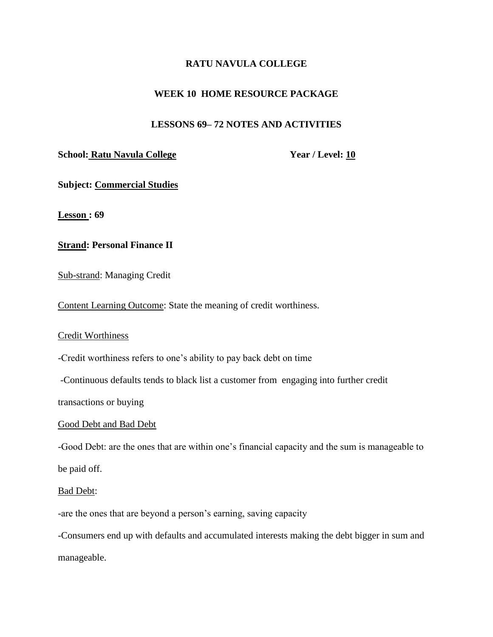## **RATU NAVULA COLLEGE**

## **WEEK 10 HOME RESOURCE PACKAGE**

## **LESSONS 69– 72 NOTES AND ACTIVITIES**

### **School: Ratu Navula College Year / Level: 10**

**Subject: Commercial Studies** 

**Lesson : 69**

### **Strand: Personal Finance II**

Sub-strand: Managing Credit

Content Learning Outcome: State the meaning of credit worthiness.

#### Credit Worthiness

-Credit worthiness refers to one's ability to pay back debt on time

-Continuous defaults tends to black list a customer from engaging into further credit

transactions or buying

#### Good Debt and Bad Debt

-Good Debt: are the ones that are within one's financial capacity and the sum is manageable to

be paid off.

#### Bad Debt:

-are the ones that are beyond a person's earning, saving capacity

-Consumers end up with defaults and accumulated interests making the debt bigger in sum and manageable.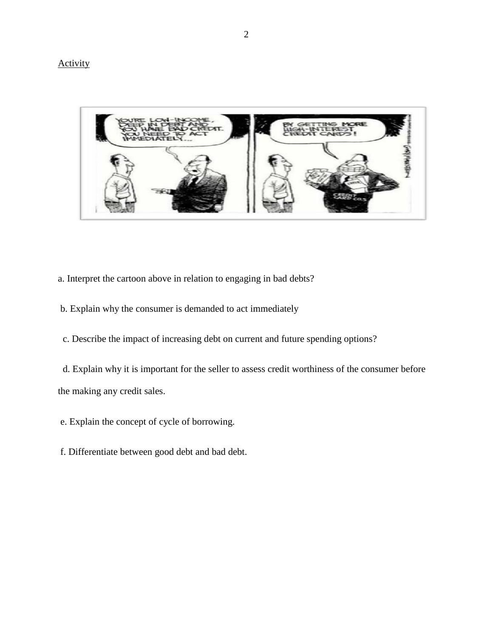# **Activity**



- a. Interpret the cartoon above in relation to engaging in bad debts?
- b. Explain why the consumer is demanded to act immediately
- c. Describe the impact of increasing debt on current and future spending options?

d. Explain why it is important for the seller to assess credit worthiness of the consumer before the making any credit sales.

- e. Explain the concept of cycle of borrowing.
- f. Differentiate between good debt and bad debt.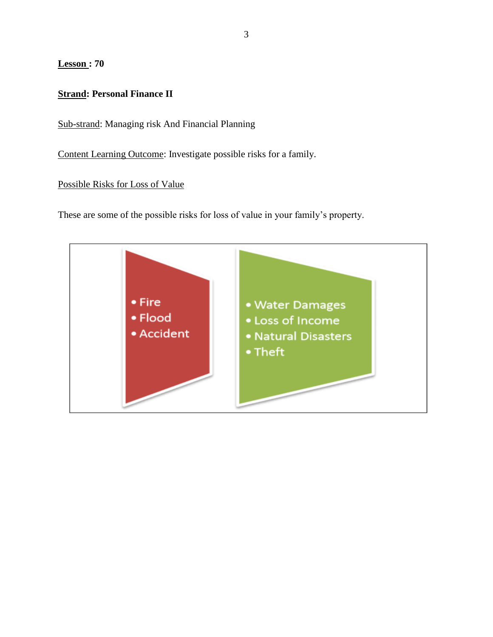**Lesson : 70**

# **Strand: Personal Finance II**

Sub-strand: Managing risk And Financial Planning

Content Learning Outcome: Investigate possible risks for a family.

Possible Risks for Loss of Value

These are some of the possible risks for loss of value in your family's property.

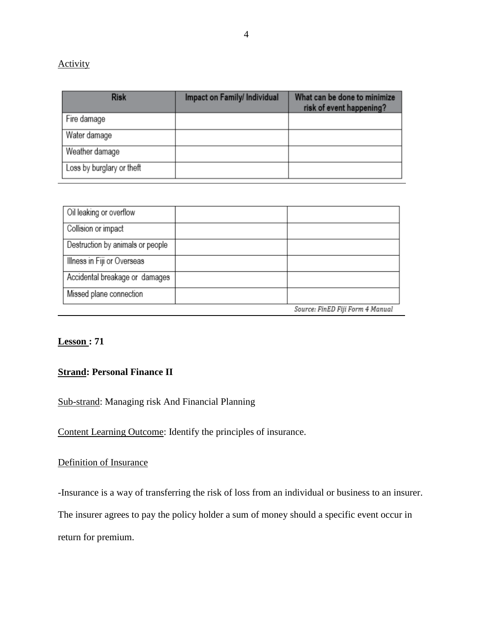# **Activity**

| <b>Risk</b>               | Impact on Family/ Individual | What can be done to minimize<br>risk of event happening? |
|---------------------------|------------------------------|----------------------------------------------------------|
| Fire damage               |                              |                                                          |
| Water damage              |                              |                                                          |
| Weather damage            |                              |                                                          |
| Loss by burglary or theft |                              |                                                          |

| Oil leaking or overflow          |                                  |
|----------------------------------|----------------------------------|
| Collision or impact              |                                  |
| Destruction by animals or people |                                  |
| Illness in Fiji or Overseas      |                                  |
| Accidental breakage or damages   |                                  |
| Missed plane connection          |                                  |
|                                  | Source: FinED Fiii Form 4 Manual |

# **Lesson : 71**

# **Strand: Personal Finance II**

# Sub-strand: Managing risk And Financial Planning

Content Learning Outcome: Identify the principles of insurance.

# Definition of Insurance

-Insurance is a way of transferring the risk of loss from an individual or business to an insurer.

The insurer agrees to pay the policy holder a sum of money should a specific event occur in

return for premium.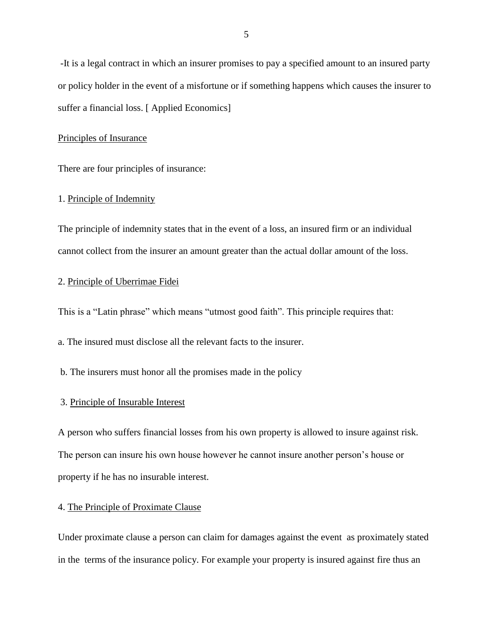-It is a legal contract in which an insurer promises to pay a specified amount to an insured party or policy holder in the event of a misfortune or if something happens which causes the insurer to suffer a financial loss. [ Applied Economics]

#### Principles of Insurance

There are four principles of insurance:

#### 1. Principle of Indemnity

The principle of indemnity states that in the event of a loss, an insured firm or an individual cannot collect from the insurer an amount greater than the actual dollar amount of the loss.

#### 2. Principle of Uberrimae Fidei

This is a "Latin phrase" which means "utmost good faith". This principle requires that:

a. The insured must disclose all the relevant facts to the insurer.

b. The insurers must honor all the promises made in the policy

#### 3. Principle of Insurable Interest

A person who suffers financial losses from his own property is allowed to insure against risk. The person can insure his own house however he cannot insure another person's house or property if he has no insurable interest.

#### 4. The Principle of Proximate Clause

Under proximate clause a person can claim for damages against the event as proximately stated in the terms of the insurance policy. For example your property is insured against fire thus an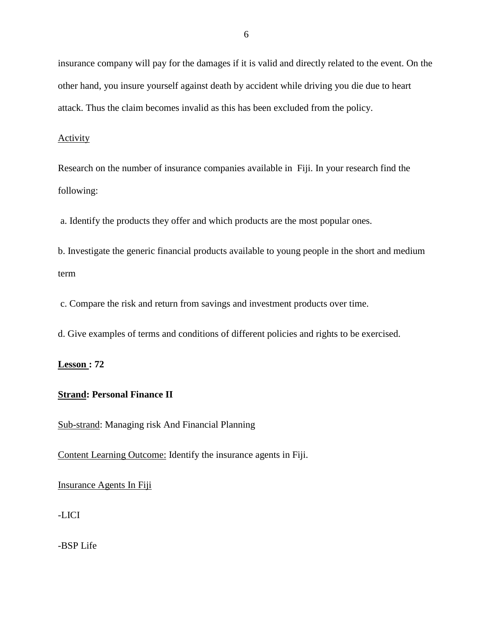insurance company will pay for the damages if it is valid and directly related to the event. On the other hand, you insure yourself against death by accident while driving you die due to heart attack. Thus the claim becomes invalid as this has been excluded from the policy.

### **Activity**

Research on the number of insurance companies available in Fiji. In your research find the following:

a. Identify the products they offer and which products are the most popular ones.

b. Investigate the generic financial products available to young people in the short and medium term

c. Compare the risk and return from savings and investment products over time.

d. Give examples of terms and conditions of different policies and rights to be exercised.

## **Lesson : 72**

### **Strand: Personal Finance II**

Sub-strand: Managing risk And Financial Planning

Content Learning Outcome: Identify the insurance agents in Fiji.

Insurance Agents In Fiji

-LICI

-BSP Life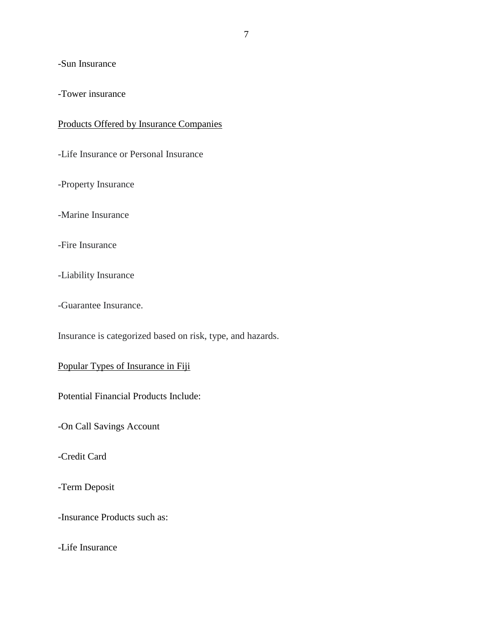## -Sun Insurance

-Tower insurance

## Products Offered by Insurance Companies

-Life Insurance or Personal Insurance

-Property Insurance

-Marine Insurance

-Fire Insurance

-Liability Insurance

-Guarantee Insurance.

Insurance is categorized based on risk, type, and hazards.

## Popular Types of Insurance in Fiji

Potential Financial Products Include:

-On Call Savings Account

-Credit Card

-Term Deposit

-Insurance Products such as:

-Life Insurance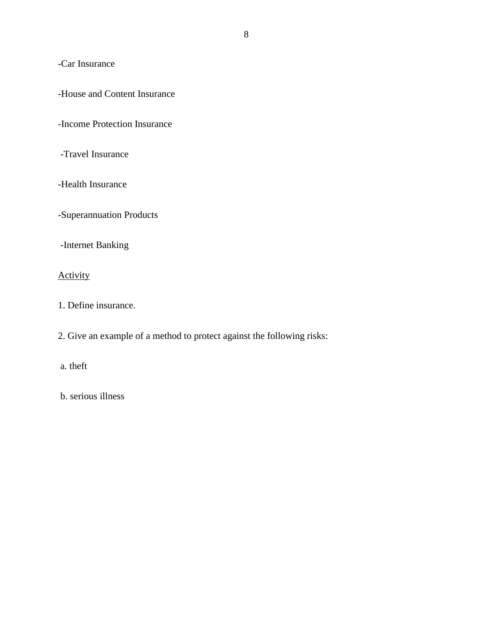-Car Insurance

-House and Content Insurance

-Income Protection Insurance

-Travel Insurance

-Health Insurance

-Superannuation Products

-Internet Banking

# **Activity**

1. Define insurance.

2. Give an example of a method to protect against the following risks:

a. theft

b. serious illness